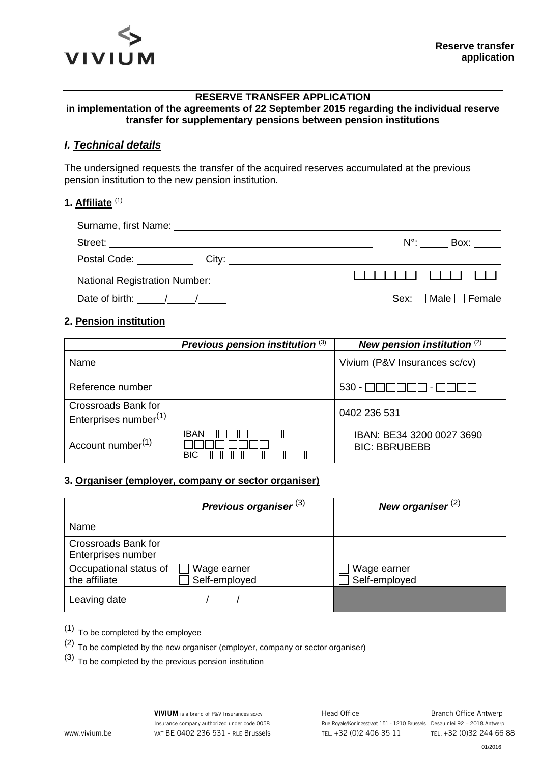

#### **RESERVE TRANSFER APPLICATION in implementation of the agreements of 22 September 2015 regarding the individual reserve transfer for supplementary pensions between pension institutions**

## *I. Technical details*

The undersigned requests the transfer of the acquired reserves accumulated at the previous pension institution to the new pension institution.

#### **1. Affiliate** (1)

| Surname, first Name: Van American American American American American American American |                                |
|-----------------------------------------------------------------------------------------|--------------------------------|
|                                                                                         | $N^{\circ}$ :<br>Box: ______   |
|                                                                                         |                                |
| <b>National Registration Number:</b>                                                    | , , , , , , , , , , , , , , ,  |
| Date of birth: $\frac{\sqrt{2}}{2}$                                                     | Sex: $\Box$ Male $\Box$ Female |

### **2. Pension institution**

|                                                                 | Previous pension institution (3) | New pension institution (2)                       |  |
|-----------------------------------------------------------------|----------------------------------|---------------------------------------------------|--|
| Name                                                            |                                  | Vivium (P&V Insurances sc/cv)                     |  |
| Reference number                                                |                                  | $530  \Box$                                       |  |
| <b>Crossroads Bank for</b><br>Enterprises number <sup>(1)</sup> |                                  | 0402 236 531                                      |  |
| Account number <sup>(1)</sup>                                   | IBAN<br>BIC                      | IBAN: BE34 3200 0027 3690<br><b>BIC: BBRUBEBB</b> |  |

### **3. Organiser (employer, company or sector organiser)**

|                                                  | Previous organiser <sup>(3)</sup> | New organiser $(2)$          |  |
|--------------------------------------------------|-----------------------------------|------------------------------|--|
| Name                                             |                                   |                              |  |
| <b>Crossroads Bank for</b><br>Enterprises number |                                   |                              |  |
| Occupational status of<br>the affiliate          | Wage earner<br>Self-employed      | Wage earner<br>Self-employed |  |
| Leaving date                                     |                                   |                              |  |

(1) To be completed by the employee

 $(2)$  To be completed by the new organiser (employer, company or sector organiser)

(3) To be completed by the previous pension institution

01/2016